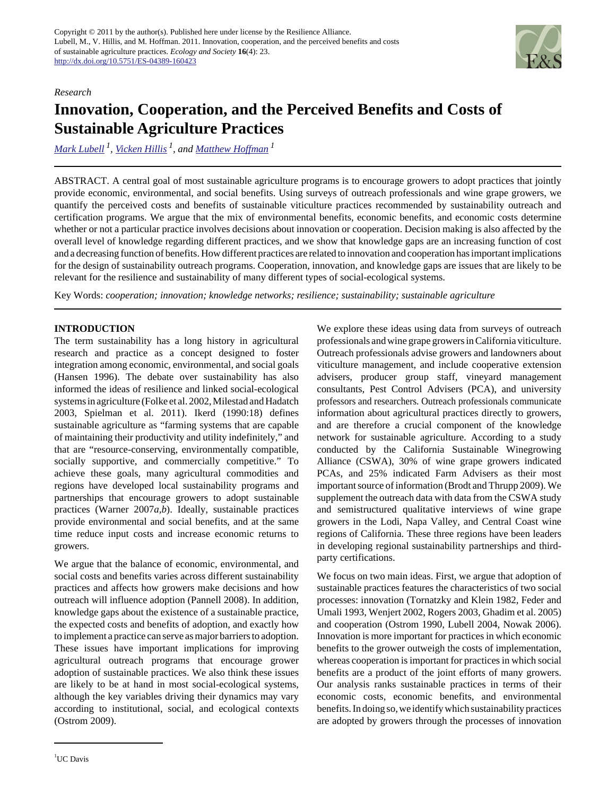

#### *Research*

# **Innovation, Cooperation, and the Perceived Benefits and Costs of Sustainable Agriculture Practices**

*[Mark Lubell](mailto:mnlubell@ucdavis.edu)<sup>1</sup> , [Vicken Hillis](mailto:avhillis@ucdavis.edu) 1, and [Matthew Hoffman](mailto:mbhoffman@ucdavis.edu)<sup>1</sup>*

ABSTRACT. A central goal of most sustainable agriculture programs is to encourage growers to adopt practices that jointly provide economic, environmental, and social benefits. Using surveys of outreach professionals and wine grape growers, we quantify the perceived costs and benefits of sustainable viticulture practices recommended by sustainability outreach and certification programs. We argue that the mix of environmental benefits, economic benefits, and economic costs determine whether or not a particular practice involves decisions about innovation or cooperation. Decision making is also affected by the overall level of knowledge regarding different practices, and we show that knowledge gaps are an increasing function of cost and a decreasing function of benefits. How different practices are related to innovation and cooperation has important implications for the design of sustainability outreach programs. Cooperation, innovation, and knowledge gaps are issues that are likely to be relevant for the resilience and sustainability of many different types of social-ecological systems.

Key Words: *cooperation; innovation; knowledge networks; resilience; sustainability; sustainable agriculture*

# **INTRODUCTION**

The term sustainability has a long history in agricultural research and practice as a concept designed to foster integration among economic, environmental, and social goals (Hansen 1996). The debate over sustainability has also informed the ideas of resilience and linked social-ecological systems in agriculture (Folke et al. 2002, Milestad and Hadatch 2003, Spielman et al. 2011). Ikerd (1990:18) defines sustainable agriculture as "farming systems that are capable of maintaining their productivity and utility indefinitely," and that are "resource-conserving, environmentally compatible, socially supportive, and commercially competitive." To achieve these goals, many agricultural commodities and regions have developed local sustainability programs and partnerships that encourage growers to adopt sustainable practices (Warner 2007*a,b*). Ideally, sustainable practices provide environmental and social benefits, and at the same time reduce input costs and increase economic returns to growers.

We argue that the balance of economic, environmental, and social costs and benefits varies across different sustainability practices and affects how growers make decisions and how outreach will influence adoption (Pannell 2008). In addition, knowledge gaps about the existence of a sustainable practice, the expected costs and benefits of adoption, and exactly how to implement a practice can serve as major barriers to adoption. These issues have important implications for improving agricultural outreach programs that encourage grower adoption of sustainable practices. We also think these issues are likely to be at hand in most social-ecological systems, although the key variables driving their dynamics may vary according to institutional, social, and ecological contexts (Ostrom 2009).

We explore these ideas using data from surveys of outreach professionals and wine grape growers in California viticulture. Outreach professionals advise growers and landowners about viticulture management, and include cooperative extension advisers, producer group staff, vineyard management consultants, Pest Control Advisers (PCA), and university professors and researchers. Outreach professionals communicate information about agricultural practices directly to growers, and are therefore a crucial component of the knowledge network for sustainable agriculture. According to a study conducted by the California Sustainable Winegrowing Alliance (CSWA), 30% of wine grape growers indicated PCAs, and 25% indicated Farm Advisers as their most important source of information (Brodt and Thrupp 2009). We supplement the outreach data with data from the CSWA study and semistructured qualitative interviews of wine grape growers in the Lodi, Napa Valley, and Central Coast wine regions of California. These three regions have been leaders in developing regional sustainability partnerships and thirdparty certifications.

We focus on two main ideas. First, we argue that adoption of sustainable practices features the characteristics of two social processes: innovation (Tornatzky and Klein 1982, Feder and Umali 1993, Wenjert 2002, Rogers 2003, Ghadim et al. 2005) and cooperation (Ostrom 1990, Lubell 2004, Nowak 2006). Innovation is more important for practices in which economic benefits to the grower outweigh the costs of implementation, whereas cooperation is important for practices in which social benefits are a product of the joint efforts of many growers. Our analysis ranks sustainable practices in terms of their economic costs, economic benefits, and environmental benefits. In doing so, we identify which sustainability practices are adopted by growers through the processes of innovation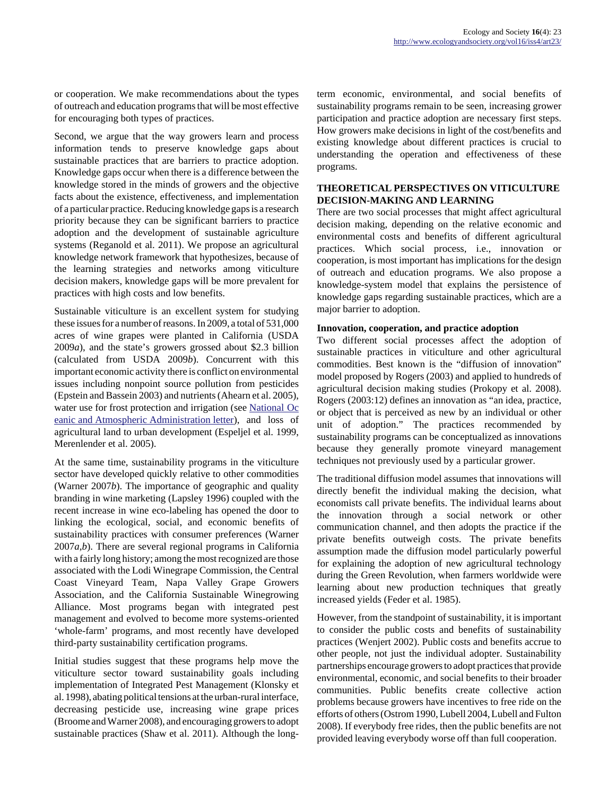or cooperation. We make recommendations about the types of outreach and education programs that will be most effective for encouraging both types of practices.

Second, we argue that the way growers learn and process information tends to preserve knowledge gaps about sustainable practices that are barriers to practice adoption. Knowledge gaps occur when there is a difference between the knowledge stored in the minds of growers and the objective facts about the existence, effectiveness, and implementation of a particular practice. Reducing knowledge gaps is a research priority because they can be significant barriers to practice adoption and the development of sustainable agriculture systems (Reganold et al. 2011). We propose an agricultural knowledge network framework that hypothesizes, because of the learning strategies and networks among viticulture decision makers, knowledge gaps will be more prevalent for practices with high costs and low benefits.

Sustainable viticulture is an excellent system for studying these issues for a number of reasons. In 2009, a total of 531,000 acres of wine grapes were planted in California (USDA 2009*a*), and the state's growers grossed about \$2.3 billion (calculated from USDA 2009*b*). Concurrent with this important economic activity there is conflict on environmental issues including nonpoint source pollution from pesticides (Epstein and Bassein 2003) and nutrients (Ahearn et al. 2005), water use for frost protection and irrigation (see [National Oc](http://www.waterboards.ca.gov/waterrights/water_issues/programs/hearings/russian_river_frost/docs/noaa_request_letter.pdf) [eanic and Atmospheric Administration letter](http://www.waterboards.ca.gov/waterrights/water_issues/programs/hearings/russian_river_frost/docs/noaa_request_letter.pdf)), and loss of agricultural land to urban development (Espeljel et al. 1999, Merenlender et al. 2005).

At the same time, sustainability programs in the viticulture sector have developed quickly relative to other commodities (Warner 2007*b*). The importance of geographic and quality branding in wine marketing (Lapsley 1996) coupled with the recent increase in wine eco-labeling has opened the door to linking the ecological, social, and economic benefits of sustainability practices with consumer preferences (Warner 2007*a,b*). There are several regional programs in California with a fairly long history; among the most recognized are those associated with the Lodi Winegrape Commission, the Central Coast Vineyard Team, Napa Valley Grape Growers Association, and the California Sustainable Winegrowing Alliance. Most programs began with integrated pest management and evolved to become more systems-oriented 'whole-farm' programs, and most recently have developed third-party sustainability certification programs.

Initial studies suggest that these programs help move the viticulture sector toward sustainability goals including implementation of Integrated Pest Management (Klonsky et al. 1998), abating political tensions at the urban-rural interface, decreasing pesticide use, increasing wine grape prices (Broome and Warner 2008), and encouraging growers to adopt sustainable practices (Shaw et al. 2011). Although the longterm economic, environmental, and social benefits of sustainability programs remain to be seen, increasing grower participation and practice adoption are necessary first steps. How growers make decisions in light of the cost/benefits and existing knowledge about different practices is crucial to understanding the operation and effectiveness of these programs.

# **THEORETICAL PERSPECTIVES ON VITICULTURE DECISION-MAKING AND LEARNING**

There are two social processes that might affect agricultural decision making, depending on the relative economic and environmental costs and benefits of different agricultural practices. Which social process, i.e., innovation or cooperation, is most important has implications for the design of outreach and education programs. We also propose a knowledge-system model that explains the persistence of knowledge gaps regarding sustainable practices, which are a major barrier to adoption.

#### **Innovation, cooperation, and practice adoption**

Two different social processes affect the adoption of sustainable practices in viticulture and other agricultural commodities. Best known is the "diffusion of innovation" model proposed by Rogers (2003) and applied to hundreds of agricultural decision making studies (Prokopy et al. 2008). Rogers (2003:12) defines an innovation as "an idea, practice, or object that is perceived as new by an individual or other unit of adoption." The practices recommended by sustainability programs can be conceptualized as innovations because they generally promote vineyard management techniques not previously used by a particular grower.

The traditional diffusion model assumes that innovations will directly benefit the individual making the decision, what economists call private benefits. The individual learns about the innovation through a social network or other communication channel, and then adopts the practice if the private benefits outweigh costs. The private benefits assumption made the diffusion model particularly powerful for explaining the adoption of new agricultural technology during the Green Revolution, when farmers worldwide were learning about new production techniques that greatly increased yields (Feder et al. 1985).

However, from the standpoint of sustainability, it is important to consider the public costs and benefits of sustainability practices (Wenjert 2002). Public costs and benefits accrue to other people, not just the individual adopter. Sustainability partnerships encourage growers to adopt practices that provide environmental, economic, and social benefits to their broader communities. Public benefits create collective action problems because growers have incentives to free ride on the efforts of others (Ostrom 1990, Lubell 2004, Lubell and Fulton 2008). If everybody free rides, then the public benefits are not provided leaving everybody worse off than full cooperation.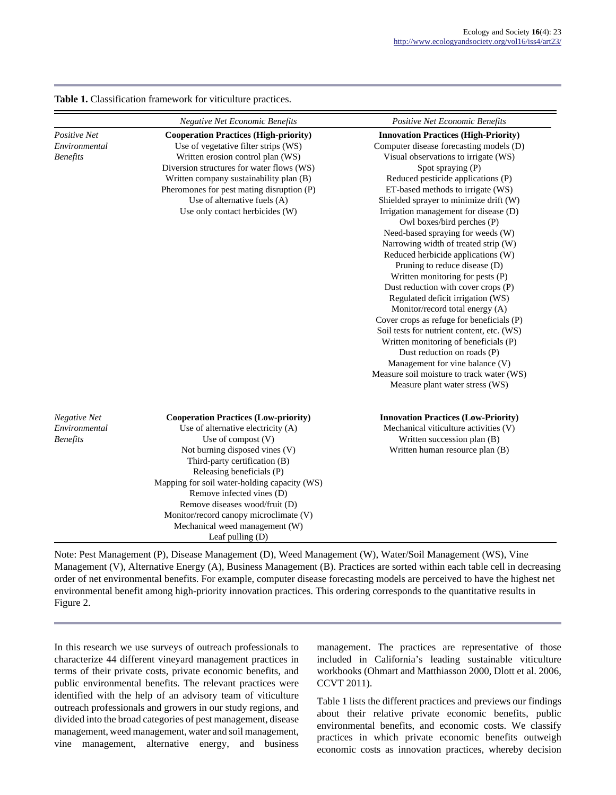| Table 1. Classification framework for viticulture practices. |  |  |  |
|--------------------------------------------------------------|--|--|--|
|--------------------------------------------------------------|--|--|--|

|                                                         | <b>Negative Net Economic Benefits</b>                                                                                                                                                                                                                                                                                                                                                                                      | Positive Net Economic Benefits                                                                                                                                                                                                                                                                                                                                                                                                                                                                                                                                                                                                                                                                                                                                                                                                                                                                                                               |
|---------------------------------------------------------|----------------------------------------------------------------------------------------------------------------------------------------------------------------------------------------------------------------------------------------------------------------------------------------------------------------------------------------------------------------------------------------------------------------------------|----------------------------------------------------------------------------------------------------------------------------------------------------------------------------------------------------------------------------------------------------------------------------------------------------------------------------------------------------------------------------------------------------------------------------------------------------------------------------------------------------------------------------------------------------------------------------------------------------------------------------------------------------------------------------------------------------------------------------------------------------------------------------------------------------------------------------------------------------------------------------------------------------------------------------------------------|
| <b>Positive Net</b><br>Environmental<br><b>Benefits</b> | <b>Cooperation Practices (High-priority)</b><br>Use of vegetative filter strips (WS)<br>Written erosion control plan (WS)<br>Diversion structures for water flows (WS)<br>Written company sustainability plan (B)<br>Pheromones for pest mating disruption (P)<br>Use of alternative fuels (A)<br>Use only contact herbicides (W)                                                                                          | <b>Innovation Practices (High-Priority)</b><br>Computer disease forecasting models (D)<br>Visual observations to irrigate (WS)<br>Spot spraying (P)<br>Reduced pesticide applications (P)<br>ET-based methods to irrigate (WS)<br>Shielded sprayer to minimize drift (W)<br>Irrigation management for disease (D)<br>Owl boxes/bird perches (P)<br>Need-based spraying for weeds (W)<br>Narrowing width of treated strip (W)<br>Reduced herbicide applications (W)<br>Pruning to reduce disease (D)<br>Written monitoring for pests (P)<br>Dust reduction with cover crops (P)<br>Regulated deficit irrigation (WS)<br>Monitor/record total energy (A)<br>Cover crops as refuge for beneficials (P)<br>Soil tests for nutrient content, etc. (WS)<br>Written monitoring of beneficials (P)<br>Dust reduction on roads (P)<br>Management for vine balance (V)<br>Measure soil moisture to track water (WS)<br>Measure plant water stress (WS) |
| <b>Negative Net</b><br>Environmental<br><b>Benefits</b> | <b>Cooperation Practices (Low-priority)</b><br>Use of alternative electricity (A)<br>Use of compost $(V)$<br>Not burning disposed vines (V)<br>Third-party certification (B)<br>Releasing beneficials (P)<br>Mapping for soil water-holding capacity (WS)<br>Remove infected vines (D)<br>Remove diseases wood/fruit (D)<br>Monitor/record canopy microclimate (V)<br>Mechanical weed management (W)<br>Leaf pulling $(D)$ | <b>Innovation Practices (Low-Priority)</b><br>Mechanical viticulture activities (V)<br>Written succession plan (B)<br>Written human resource plan (B)                                                                                                                                                                                                                                                                                                                                                                                                                                                                                                                                                                                                                                                                                                                                                                                        |

Note: Pest Management (P), Disease Management (D), Weed Management (W), Water/Soil Management (WS), Vine Management (V), Alternative Energy (A), Business Management (B). Practices are sorted within each table cell in decreasing order of net environmental benefits. For example, computer disease forecasting models are perceived to have the highest net environmental benefit among high-priority innovation practices. This ordering corresponds to the quantitative results in Figure 2.

In this research we use surveys of outreach professionals to characterize 44 different vineyard management practices in terms of their private costs, private economic benefits, and public environmental benefits. The relevant practices were identified with the help of an advisory team of viticulture outreach professionals and growers in our study regions, and divided into the broad categories of pest management, disease management, weed management, water and soil management, vine management, alternative energy, and business management. The practices are representative of those included in California's leading sustainable viticulture workbooks (Ohmart and Matthiasson 2000, Dlott et al. 2006, CCVT 2011).

Table 1 lists the different practices and previews our findings about their relative private economic benefits, public environmental benefits, and economic costs. We classify practices in which private economic benefits outweigh economic costs as innovation practices, whereby decision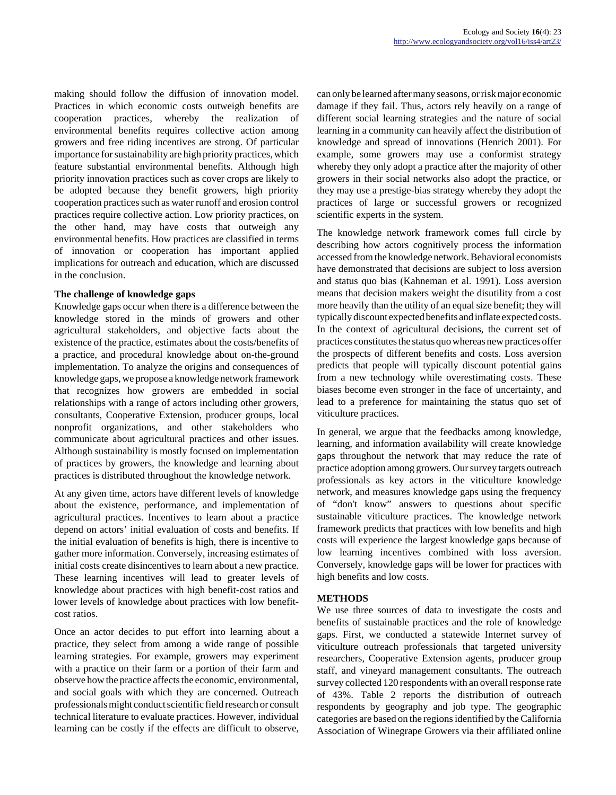making should follow the diffusion of innovation model. Practices in which economic costs outweigh benefits are cooperation practices, whereby the realization of environmental benefits requires collective action among growers and free riding incentives are strong. Of particular importance for sustainability are high priority practices, which feature substantial environmental benefits. Although high priority innovation practices such as cover crops are likely to be adopted because they benefit growers, high priority cooperation practices such as water runoff and erosion control practices require collective action. Low priority practices, on the other hand, may have costs that outweigh any environmental benefits. How practices are classified in terms of innovation or cooperation has important applied implications for outreach and education, which are discussed in the conclusion.

#### **The challenge of knowledge gaps**

Knowledge gaps occur when there is a difference between the knowledge stored in the minds of growers and other agricultural stakeholders, and objective facts about the existence of the practice, estimates about the costs/benefits of a practice, and procedural knowledge about on-the-ground implementation. To analyze the origins and consequences of knowledge gaps, we propose a knowledge network framework that recognizes how growers are embedded in social relationships with a range of actors including other growers, consultants, Cooperative Extension, producer groups, local nonprofit organizations, and other stakeholders who communicate about agricultural practices and other issues. Although sustainability is mostly focused on implementation of practices by growers, the knowledge and learning about practices is distributed throughout the knowledge network.

At any given time, actors have different levels of knowledge about the existence, performance, and implementation of agricultural practices. Incentives to learn about a practice depend on actors' initial evaluation of costs and benefits. If the initial evaluation of benefits is high, there is incentive to gather more information. Conversely, increasing estimates of initial costs create disincentives to learn about a new practice. These learning incentives will lead to greater levels of knowledge about practices with high benefit-cost ratios and lower levels of knowledge about practices with low benefitcost ratios.

Once an actor decides to put effort into learning about a practice, they select from among a wide range of possible learning strategies. For example, growers may experiment with a practice on their farm or a portion of their farm and observe how the practice affects the economic, environmental, and social goals with which they are concerned. Outreach professionals might conduct scientific field research or consult technical literature to evaluate practices. However, individual learning can be costly if the effects are difficult to observe,

can only be learned after many seasons, or risk major economic damage if they fail. Thus, actors rely heavily on a range of different social learning strategies and the nature of social learning in a community can heavily affect the distribution of knowledge and spread of innovations (Henrich 2001). For example, some growers may use a conformist strategy whereby they only adopt a practice after the majority of other growers in their social networks also adopt the practice, or they may use a prestige-bias strategy whereby they adopt the practices of large or successful growers or recognized scientific experts in the system.

The knowledge network framework comes full circle by describing how actors cognitively process the information accessed from the knowledge network. Behavioral economists have demonstrated that decisions are subject to loss aversion and status quo bias (Kahneman et al. 1991). Loss aversion means that decision makers weight the disutility from a cost more heavily than the utility of an equal size benefit; they will typically discount expected benefits and inflate expected costs. In the context of agricultural decisions, the current set of practices constitutes the status quo whereas new practices offer the prospects of different benefits and costs. Loss aversion predicts that people will typically discount potential gains from a new technology while overestimating costs. These biases become even stronger in the face of uncertainty, and lead to a preference for maintaining the status quo set of viticulture practices.

In general, we argue that the feedbacks among knowledge, learning, and information availability will create knowledge gaps throughout the network that may reduce the rate of practice adoption among growers. Our survey targets outreach professionals as key actors in the viticulture knowledge network, and measures knowledge gaps using the frequency of "don't know" answers to questions about specific sustainable viticulture practices. The knowledge network framework predicts that practices with low benefits and high costs will experience the largest knowledge gaps because of low learning incentives combined with loss aversion. Conversely, knowledge gaps will be lower for practices with high benefits and low costs.

# **METHODS**

We use three sources of data to investigate the costs and benefits of sustainable practices and the role of knowledge gaps. First, we conducted a statewide Internet survey of viticulture outreach professionals that targeted university researchers, Cooperative Extension agents, producer group staff, and vineyard management consultants. The outreach survey collected 120 respondents with an overall response rate of 43%. Table 2 reports the distribution of outreach respondents by geography and job type. The geographic categories are based on the regions identified by the California Association of Winegrape Growers via their affiliated online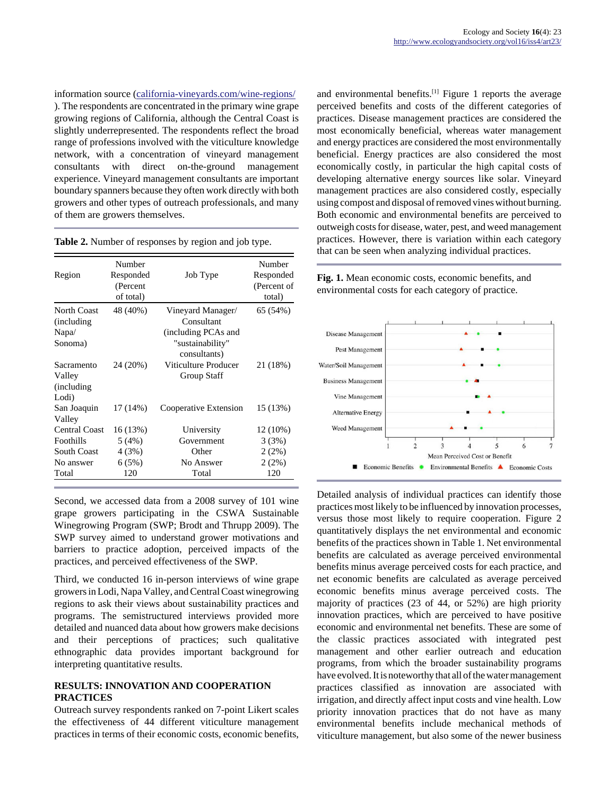information source ([california-vineyards.com/wine-regions/](http://california-vineyards.com/wine-regions/) ). The respondents are concentrated in the primary wine grape growing regions of California, although the Central Coast is slightly underrepresented. The respondents reflect the broad range of professions involved with the viticulture knowledge network, with a concentration of vineyard management consultants with direct on-the-ground management experience. Vineyard management consultants are important boundary spanners because they often work directly with both growers and other types of outreach professionals, and many of them are growers themselves.

|                      | Number    |                       | Number      |
|----------------------|-----------|-----------------------|-------------|
| Region               | Responded | Job Type              | Responded   |
|                      | (Percent  |                       | (Percent of |
|                      | of total) |                       | total)      |
| <b>North Coast</b>   | 48 (40%)  | Vineyard Manager/     | 65 (54%)    |
| (including)          |           | Consultant            |             |
| Napa/                |           | (including PCAs and   |             |
| Sonoma)              |           | "sustainability"      |             |
|                      |           | consultants)          |             |
| Sacramento           | 24 (20%)  | Viticulture Producer  | 21 (18%)    |
| Valley               |           | Group Staff           |             |
| (including)          |           |                       |             |
| Lodi)                |           |                       |             |
| San Joaquin          | 17 (14%)  | Cooperative Extension | 15 (13%)    |
| Valley               |           |                       |             |
| <b>Central Coast</b> | 16 (13%)  | University            | 12 (10%)    |
| Foothills            | 5(4%)     | Government            | 3(3%)       |
| <b>South Coast</b>   | 4 (3%)    | Other                 | 2(2%)       |
| No answer            | 6(5%)     | No Answer             | 2(2%)       |
| Total                | 120       | Total                 | 120         |

**Table 2.** Number of responses by region and job type.

Second, we accessed data from a 2008 survey of 101 wine grape growers participating in the CSWA Sustainable Winegrowing Program (SWP; Brodt and Thrupp 2009). The SWP survey aimed to understand grower motivations and barriers to practice adoption, perceived impacts of the practices, and perceived effectiveness of the SWP.

Third, we conducted 16 in-person interviews of wine grape growers in Lodi, Napa Valley, and Central Coast winegrowing regions to ask their views about sustainability practices and programs. The semistructured interviews provided more detailed and nuanced data about how growers make decisions and their perceptions of practices; such qualitative ethnographic data provides important background for interpreting quantitative results.

#### **RESULTS: INNOVATION AND COOPERATION PRACTICES**

Outreach survey respondents ranked on 7-point Likert scales the effectiveness of 44 different viticulture management practices in terms of their economic costs, economic benefits, and environmental benefits.<sup>[1]</sup> Figure 1 reports the average perceived benefits and costs of the different categories of practices. Disease management practices are considered the most economically beneficial, whereas water management and energy practices are considered the most environmentally beneficial. Energy practices are also considered the most economically costly, in particular the high capital costs of developing alternative energy sources like solar. Vineyard management practices are also considered costly, especially using compost and disposal of removed vines without burning. Both economic and environmental benefits are perceived to outweigh costs for disease, water, pest, and weed management practices. However, there is variation within each category that can be seen when analyzing individual practices.

**Fig. 1.** Mean economic costs, economic benefits, and environmental costs for each category of practice.



Detailed analysis of individual practices can identify those practices most likely to be influenced by innovation processes, versus those most likely to require cooperation. Figure 2 quantitatively displays the net environmental and economic benefits of the practices shown in Table 1. Net environmental benefits are calculated as average perceived environmental benefits minus average perceived costs for each practice, and net economic benefits are calculated as average perceived economic benefits minus average perceived costs. The majority of practices (23 of 44, or 52%) are high priority innovation practices, which are perceived to have positive economic and environmental net benefits. These are some of the classic practices associated with integrated pest management and other earlier outreach and education programs, from which the broader sustainability programs have evolved. It is noteworthy that all of the water management practices classified as innovation are associated with irrigation, and directly affect input costs and vine health. Low priority innovation practices that do not have as many environmental benefits include mechanical methods of viticulture management, but also some of the newer business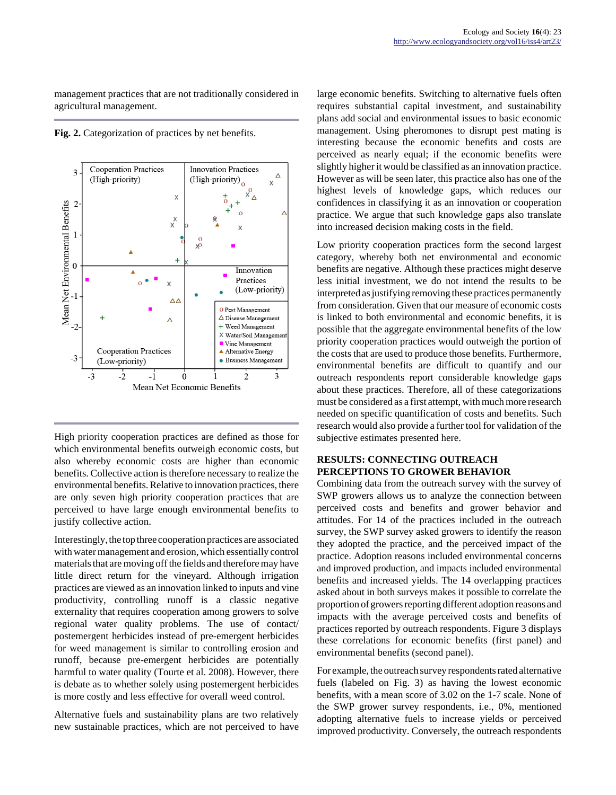management practices that are not traditionally considered in agricultural management.

**Fig. 2.** Categorization of practices by net benefits.



High priority cooperation practices are defined as those for which environmental benefits outweigh economic costs, but also whereby economic costs are higher than economic benefits. Collective action is therefore necessary to realize the environmental benefits. Relative to innovation practices, there are only seven high priority cooperation practices that are perceived to have large enough environmental benefits to justify collective action.

Interestingly, the top three cooperation practices are associated with water management and erosion, which essentially control materials that are moving off the fields and therefore may have little direct return for the vineyard. Although irrigation practices are viewed as an innovation linked to inputs and vine productivity, controlling runoff is a classic negative externality that requires cooperation among growers to solve regional water quality problems. The use of contact/ postemergent herbicides instead of pre-emergent herbicides for weed management is similar to controlling erosion and runoff, because pre-emergent herbicides are potentially harmful to water quality (Tourte et al. 2008). However, there is debate as to whether solely using postemergent herbicides is more costly and less effective for overall weed control.

Alternative fuels and sustainability plans are two relatively new sustainable practices, which are not perceived to have large economic benefits. Switching to alternative fuels often requires substantial capital investment, and sustainability plans add social and environmental issues to basic economic management. Using pheromones to disrupt pest mating is interesting because the economic benefits and costs are perceived as nearly equal; if the economic benefits were slightly higher it would be classified as an innovation practice. However as will be seen later, this practice also has one of the highest levels of knowledge gaps, which reduces our confidences in classifying it as an innovation or cooperation practice. We argue that such knowledge gaps also translate into increased decision making costs in the field.

Low priority cooperation practices form the second largest category, whereby both net environmental and economic benefits are negative. Although these practices might deserve less initial investment, we do not intend the results to be interpreted as justifying removing these practices permanently from consideration. Given that our measure of economic costs is linked to both environmental and economic benefits, it is possible that the aggregate environmental benefits of the low priority cooperation practices would outweigh the portion of the costs that are used to produce those benefits. Furthermore, environmental benefits are difficult to quantify and our outreach respondents report considerable knowledge gaps about these practices. Therefore, all of these categorizations must be considered as a first attempt, with much more research needed on specific quantification of costs and benefits. Such research would also provide a further tool for validation of the subjective estimates presented here.

# **RESULTS: CONNECTING OUTREACH PERCEPTIONS TO GROWER BEHAVIOR**

Combining data from the outreach survey with the survey of SWP growers allows us to analyze the connection between perceived costs and benefits and grower behavior and attitudes. For 14 of the practices included in the outreach survey, the SWP survey asked growers to identify the reason they adopted the practice, and the perceived impact of the practice. Adoption reasons included environmental concerns and improved production, and impacts included environmental benefits and increased yields. The 14 overlapping practices asked about in both surveys makes it possible to correlate the proportion of growers reporting different adoption reasons and impacts with the average perceived costs and benefits of practices reported by outreach respondents. Figure 3 displays these correlations for economic benefits (first panel) and environmental benefits (second panel).

For example, the outreach survey respondents rated alternative fuels (labeled on Fig. 3) as having the lowest economic benefits, with a mean score of 3.02 on the 1-7 scale. None of the SWP grower survey respondents, i.e., 0%, mentioned adopting alternative fuels to increase yields or perceived improved productivity. Conversely, the outreach respondents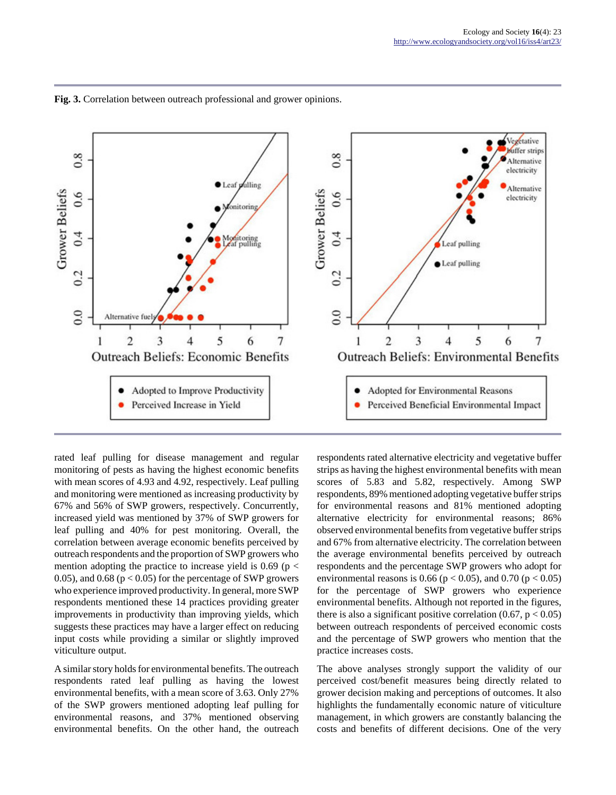

**Fig. 3.** Correlation between outreach professional and grower opinions.

rated leaf pulling for disease management and regular monitoring of pests as having the highest economic benefits with mean scores of 4.93 and 4.92, respectively. Leaf pulling and monitoring were mentioned as increasing productivity by 67% and 56% of SWP growers, respectively. Concurrently, increased yield was mentioned by 37% of SWP growers for leaf pulling and 40% for pest monitoring. Overall, the correlation between average economic benefits perceived by outreach respondents and the proportion of SWP growers who mention adopting the practice to increase yield is  $0.69$  (p  $<$ 0.05), and 0.68 ( $p < 0.05$ ) for the percentage of SWP growers who experience improved productivity. In general, more SWP respondents mentioned these 14 practices providing greater improvements in productivity than improving yields, which suggests these practices may have a larger effect on reducing input costs while providing a similar or slightly improved viticulture output.

A similar story holds for environmental benefits. The outreach respondents rated leaf pulling as having the lowest environmental benefits, with a mean score of 3.63. Only 27% of the SWP growers mentioned adopting leaf pulling for environmental reasons, and 37% mentioned observing environmental benefits. On the other hand, the outreach

respondents rated alternative electricity and vegetative buffer strips as having the highest environmental benefits with mean scores of 5.83 and 5.82, respectively. Among SWP respondents, 89% mentioned adopting vegetative buffer strips for environmental reasons and 81% mentioned adopting alternative electricity for environmental reasons; 86% observed environmental benefits from vegetative buffer strips and 67% from alternative electricity. The correlation between the average environmental benefits perceived by outreach respondents and the percentage SWP growers who adopt for environmental reasons is 0.66 ( $p < 0.05$ ), and 0.70 ( $p < 0.05$ ) for the percentage of SWP growers who experience environmental benefits. Although not reported in the figures, there is also a significant positive correlation  $(0.67, p < 0.05)$ between outreach respondents of perceived economic costs and the percentage of SWP growers who mention that the practice increases costs.

The above analyses strongly support the validity of our perceived cost/benefit measures being directly related to grower decision making and perceptions of outcomes. It also highlights the fundamentally economic nature of viticulture management, in which growers are constantly balancing the costs and benefits of different decisions. One of the very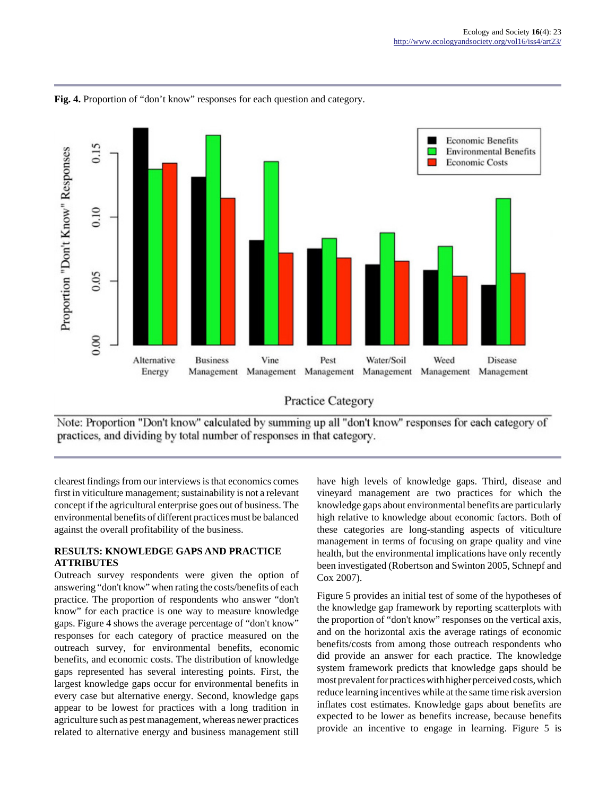

**Fig. 4.** Proportion of "don't know" responses for each question and category.



Note: Proportion "Don't know" calculated by summing up all "don't know" responses for each category of practices, and dividing by total number of responses in that category.

clearest findings from our interviews is that economics comes first in viticulture management; sustainability is not a relevant concept if the agricultural enterprise goes out of business. The environmental benefits of different practices must be balanced against the overall profitability of the business.

# **RESULTS: KNOWLEDGE GAPS AND PRACTICE ATTRIBUTES**

Outreach survey respondents were given the option of answering "don't know" when rating the costs/benefits of each practice. The proportion of respondents who answer "don't know" for each practice is one way to measure knowledge gaps. Figure 4 shows the average percentage of "don't know" responses for each category of practice measured on the outreach survey, for environmental benefits, economic benefits, and economic costs. The distribution of knowledge gaps represented has several interesting points. First, the largest knowledge gaps occur for environmental benefits in every case but alternative energy. Second, knowledge gaps appear to be lowest for practices with a long tradition in agriculture such as pest management, whereas newer practices related to alternative energy and business management still

have high levels of knowledge gaps. Third, disease and vineyard management are two practices for which the knowledge gaps about environmental benefits are particularly high relative to knowledge about economic factors. Both of these categories are long-standing aspects of viticulture management in terms of focusing on grape quality and vine health, but the environmental implications have only recently been investigated (Robertson and Swinton 2005, Schnepf and Cox 2007).

Figure 5 provides an initial test of some of the hypotheses of the knowledge gap framework by reporting scatterplots with the proportion of "don't know" responses on the vertical axis, and on the horizontal axis the average ratings of economic benefits/costs from among those outreach respondents who did provide an answer for each practice. The knowledge system framework predicts that knowledge gaps should be most prevalent for practices with higher perceived costs, which reduce learning incentives while at the same time risk aversion inflates cost estimates. Knowledge gaps about benefits are expected to be lower as benefits increase, because benefits provide an incentive to engage in learning. Figure 5 is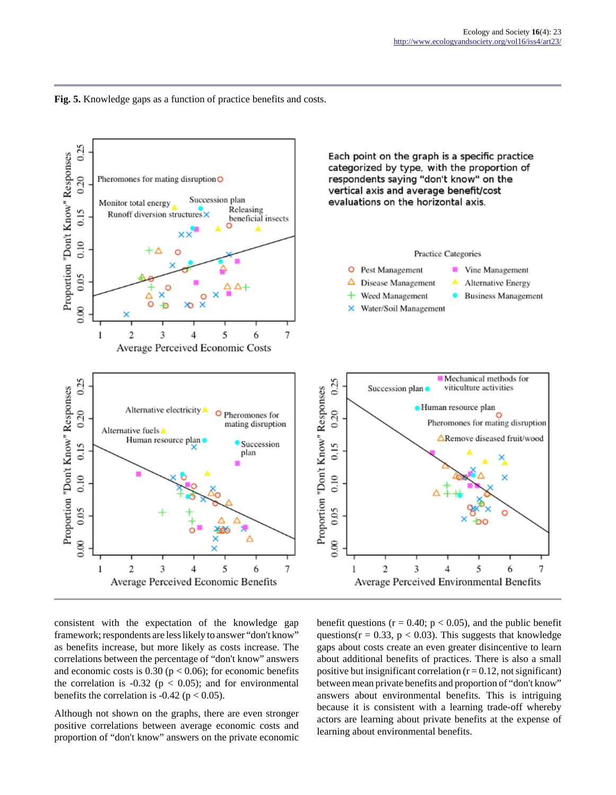**Fig. 5.** Knowledge gaps as a function of practice benefits and costs.



consistent with the expectation of the knowledge gap framework; respondents are less likely to answer "don't know" as benefits increase, but more likely as costs increase. The correlations between the percentage of "don't know" answers and economic costs is  $0.30$  ( $p < 0.06$ ); for economic benefits the correlation is -0.32 ( $p < 0.05$ ); and for environmental benefits the correlation is  $-0.42$  ( $p < 0.05$ ).

Although not shown on the graphs, there are even stronger positive correlations between average economic costs and proportion of "don't know" answers on the private economic

benefit questions ( $r = 0.40$ ;  $p < 0.05$ ), and the public benefit questions( $r = 0.33$ ,  $p < 0.03$ ). This suggests that knowledge gaps about costs create an even greater disincentive to learn about additional benefits of practices. There is also a small positive but insignificant correlation  $(r = 0.12)$ , not significant) between mean private benefits and proportion of "don't know" answers about environmental benefits. This is intriguing because it is consistent with a learning trade-off whereby actors are learning about private benefits at the expense of learning about environmental benefits.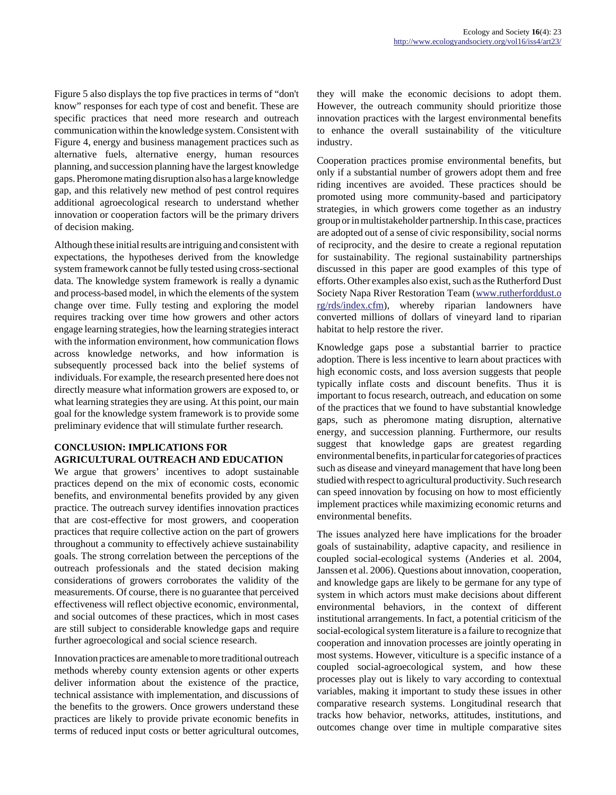Figure 5 also displays the top five practices in terms of "don't know" responses for each type of cost and benefit. These are specific practices that need more research and outreach communication within the knowledge system. Consistent with Figure 4, energy and business management practices such as alternative fuels, alternative energy, human resources planning, and succession planning have the largest knowledge gaps. Pheromone mating disruption also has a large knowledge gap, and this relatively new method of pest control requires additional agroecological research to understand whether innovation or cooperation factors will be the primary drivers of decision making.

Although these initial results are intriguing and consistent with expectations, the hypotheses derived from the knowledge system framework cannot be fully tested using cross-sectional data. The knowledge system framework is really a dynamic and process-based model, in which the elements of the system change over time. Fully testing and exploring the model requires tracking over time how growers and other actors engage learning strategies, how the learning strategies interact with the information environment, how communication flows across knowledge networks, and how information is subsequently processed back into the belief systems of individuals. For example, the research presented here does not directly measure what information growers are exposed to, or what learning strategies they are using. At this point, our main goal for the knowledge system framework is to provide some preliminary evidence that will stimulate further research.

# **CONCLUSION: IMPLICATIONS FOR AGRICULTURAL OUTREACH AND EDUCATION**

We argue that growers' incentives to adopt sustainable practices depend on the mix of economic costs, economic benefits, and environmental benefits provided by any given practice. The outreach survey identifies innovation practices that are cost-effective for most growers, and cooperation practices that require collective action on the part of growers throughout a community to effectively achieve sustainability goals. The strong correlation between the perceptions of the outreach professionals and the stated decision making considerations of growers corroborates the validity of the measurements. Of course, there is no guarantee that perceived effectiveness will reflect objective economic, environmental, and social outcomes of these practices, which in most cases are still subject to considerable knowledge gaps and require further agroecological and social science research.

Innovation practices are amenable to more traditional outreach methods whereby county extension agents or other experts deliver information about the existence of the practice, technical assistance with implementation, and discussions of the benefits to the growers. Once growers understand these practices are likely to provide private economic benefits in terms of reduced input costs or better agricultural outcomes, they will make the economic decisions to adopt them. However, the outreach community should prioritize those innovation practices with the largest environmental benefits to enhance the overall sustainability of the viticulture industry.

Cooperation practices promise environmental benefits, but only if a substantial number of growers adopt them and free riding incentives are avoided. These practices should be promoted using more community-based and participatory strategies, in which growers come together as an industry group or in multistakeholder partnership. In this case, practices are adopted out of a sense of civic responsibility, social norms of reciprocity, and the desire to create a regional reputation for sustainability. The regional sustainability partnerships discussed in this paper are good examples of this type of efforts. Other examples also exist, such as the Rutherford Dust Society Napa River Restoration Team [\(www.rutherforddust.o](http://www.rutherforddust.org/rds/index.cfm) [rg/rds/index.cfm](http://www.rutherforddust.org/rds/index.cfm)), whereby riparian landowners have converted millions of dollars of vineyard land to riparian habitat to help restore the river.

Knowledge gaps pose a substantial barrier to practice adoption. There is less incentive to learn about practices with high economic costs, and loss aversion suggests that people typically inflate costs and discount benefits. Thus it is important to focus research, outreach, and education on some of the practices that we found to have substantial knowledge gaps, such as pheromone mating disruption, alternative energy, and succession planning. Furthermore, our results suggest that knowledge gaps are greatest regarding environmental benefits, in particular for categories of practices such as disease and vineyard management that have long been studied with respect to agricultural productivity. Such research can speed innovation by focusing on how to most efficiently implement practices while maximizing economic returns and environmental benefits.

The issues analyzed here have implications for the broader goals of sustainability, adaptive capacity, and resilience in coupled social-ecological systems (Anderies et al. 2004, Janssen et al. 2006). Questions about innovation, cooperation, and knowledge gaps are likely to be germane for any type of system in which actors must make decisions about different environmental behaviors, in the context of different institutional arrangements. In fact, a potential criticism of the social-ecological system literature is a failure to recognize that cooperation and innovation processes are jointly operating in most systems. However, viticulture is a specific instance of a coupled social-agroecological system, and how these processes play out is likely to vary according to contextual variables, making it important to study these issues in other comparative research systems. Longitudinal research that tracks how behavior, networks, attitudes, institutions, and outcomes change over time in multiple comparative sites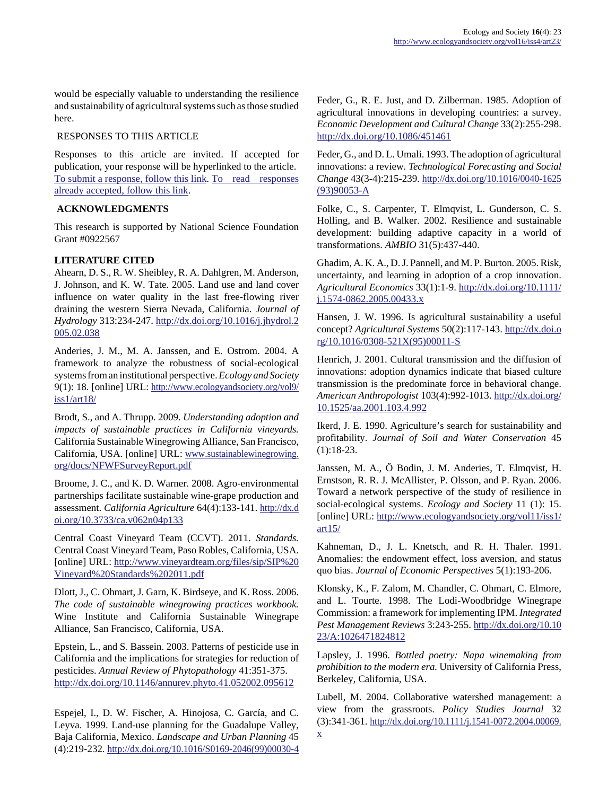would be especially valuable to understanding the resilience and sustainability of agricultural systems such as those studied here.

#### RESPONSES TO THIS ARTICLE

Responses to this article are invited. If accepted for publication, your response will be hyperlinked to the article. [To submit a response, follow this link](http://www.ecologyandsociety.org/responses.php?articleid=4389&mode=add). [To read responses](http://www.ecologyandsociety.org/responses.php?articleid=4389) [already accepted, follow this link](http://www.ecologyandsociety.org/responses.php?articleid=4389).

# **ACKNOWLEDGMENTS**

This research is supported by National Science Foundation Grant #0922567

# **LITERATURE CITED**

Ahearn, D. S., R. W. Sheibley, R. A. Dahlgren, M. Anderson, J. Johnson, and K. W. Tate. 2005. Land use and land cover influence on water quality in the last free-flowing river draining the western Sierra Nevada, California. *Journal of Hydrology* 313:234-247. [http://dx.doi.org/10.1016/j.jhydrol.2](http://dx.doi.org/10.1016/j.jhydrol.2005.02.038) [005.02.038](http://dx.doi.org/10.1016/j.jhydrol.2005.02.038)

Anderies, J. M., M. A. Janssen, and E. Ostrom. 2004. A framework to analyze the robustness of social-ecological systems from an institutional perspective. *Ecology and Society* 9(1): 18. [online] URL: [http://www.ecologyandsociety.org/vol9/](http://www.ecologyandsociety.org/vol9/iss1/art18/) [iss1/art18/](http://www.ecologyandsociety.org/vol9/iss1/art18/)

Brodt, S., and A. Thrupp. 2009. *Understanding adoption and impacts of sustainable practices in California vineyards.* California Sustainable Winegrowing Alliance, San Francisco, California, USA. [online] URL: [www.sustainablewinegrowing.](http://www.sustainablewinegrowing.org/docs/NFWFSurveyReport.pdf) [org/docs/NFWFSurveyReport.pdf](http://www.sustainablewinegrowing.org/docs/NFWFSurveyReport.pdf)

Broome, J. C., and K. D. Warner. 2008. Agro-environmental partnerships facilitate sustainable wine-grape production and assessment. *California Agriculture* 64(4):133-141. [http://dx.d](http://dx.doi.org/10.3733/ca.v062n04p133) [oi.org/10.3733/ca.v062n04p133](http://dx.doi.org/10.3733/ca.v062n04p133)

Central Coast Vineyard Team (CCVT). 2011. *Standards.* Central Coast Vineyard Team, Paso Robles, California, USA. [online] URL: [http://www.vineyardteam.org/files/sip/SIP%20](http://www.vineyardteam.org/files/sip/SIP%20Vineyard%20Standards%202011.pdf) [Vineyard%20Standards%202011.pdf](http://www.vineyardteam.org/files/sip/SIP%20Vineyard%20Standards%202011.pdf)

Dlott, J., C. Ohmart, J. Garn, K. Birdseye, and K. Ross. 2006. *The code of sustainable winegrowing practices workbook.* Wine Institute and California Sustainable Winegrape Alliance, San Francisco, California, USA.

Epstein, L., and S. Bassein. 2003. Patterns of pesticide use in California and the implications for strategies for reduction of pesticides. *Annual Review of Phytopathology* 41:351-375. <http://dx.doi.org/10.1146/annurev.phyto.41.052002.095612>

Espejel, I., D. W. Fischer, A. Hinojosa, C. García, and C. Leyva. 1999. Land-use planning for the Guadalupe Valley, Baja California, Mexico. *Landscape and Urban Planning* 45 (4):219-232. [http://dx.doi.org/10.1016/S0169-2046\(99\)00030-4](http://dx.doi.org/10.1016/S0169-2046(99)00030-4) Feder, G., R. E. Just, and D. Zilberman. 1985. Adoption of agricultural innovations in developing countries: a survey. *Economic Development and Cultural Change* 33(2):255-298. <http://dx.doi.org/10.1086/451461>

Feder, G., and D. L. Umali. 1993. The adoption of agricultural innovations: a review. *Technological Forecasting and Social Change* 43(3-4):215-239. [http://dx.doi.org/10.1016/0040-1625](http://dx.doi.org/10.1016/0040-1625(93)90053-A) [\(93\)90053-A](http://dx.doi.org/10.1016/0040-1625(93)90053-A)

Folke, C., S. Carpenter, T. Elmqvist, L. Gunderson, C. S. Holling, and B. Walker. 2002. Resilience and sustainable development: building adaptive capacity in a world of transformations. *AMBIO* 31(5):437-440.

Ghadim, A. K. A., D. J. Pannell, and M. P. Burton. 2005. Risk, uncertainty, and learning in adoption of a crop innovation. *Agricultural Economics* 33(1):1-9. [http://dx.doi.org/10.1111/](http://dx.doi.org/10.1111/j.1574-0862.2005.00433.x) [j.1574-0862.2005.00433.x](http://dx.doi.org/10.1111/j.1574-0862.2005.00433.x)

Hansen, J. W. 1996. Is agricultural sustainability a useful concept? *Agricultural Systems* 50(2):117-143. [http://dx.doi.o](http://dx.doi.org/10.1016/0308-521X(95)00011-S) [rg/10.1016/0308-521X\(95\)00011-S](http://dx.doi.org/10.1016/0308-521X(95)00011-S)

Henrich, J. 2001. Cultural transmission and the diffusion of innovations: adoption dynamics indicate that biased culture transmission is the predominate force in behavioral change. *American Anthropologist* 103(4):992-1013. [http://dx.doi.org/](http://dx.doi.org/10.1525/aa.2001.103.4.992) [10.1525/aa.2001.103.4.992](http://dx.doi.org/10.1525/aa.2001.103.4.992)

Ikerd, J. E. 1990. Agriculture's search for sustainability and profitability. *Journal of Soil and Water Conservation* 45 (1):18-23.

Janssen, M. A., Ö Bodin, J. M. Anderies, T. Elmqvist, H. Ernstson, R. R. J. McAllister, P. Olsson, and P. Ryan. 2006. Toward a network perspective of the study of resilience in social-ecological systems. *Ecology and Society* 11 (1): 15. [online] URL: [http://www.ecologyandsociety.org/vol11/iss1/](http://www.ecologyandsociety.org/vol11/iss1/art15/)  $art15/$ 

Kahneman, D., J. L. Knetsch, and R. H. Thaler. 1991. Anomalies: the endowment effect, loss aversion, and status quo bias. *Journal of Economic Perspectives* 5(1):193-206.

Klonsky, K., F. Zalom, M. Chandler, C. Ohmart, C. Elmore, and L. Tourte. 1998. The Lodi-Woodbridge Winegrape Commission: a framework for implementing IPM. *Integrated Pest Management Reviews* 3:243-255. [http://dx.doi.org/10.10](http://dx.doi.org/10.1023/A:1026471824812) [23/A:1026471824812](http://dx.doi.org/10.1023/A:1026471824812)

Lapsley, J. 1996. *Bottled poetry: Napa winemaking from prohibition to the modern era.* University of California Press, Berkeley, California, USA.

Lubell, M. 2004. Collaborative watershed management: a view from the grassroots. *Policy Studies Journal* 32 (3):341-361. [http://dx.doi.org/10.1111/j.1541-0072.2004.00069.](http://dx.doi.org/10.1111/j.1541-0072.2004.00069.x)